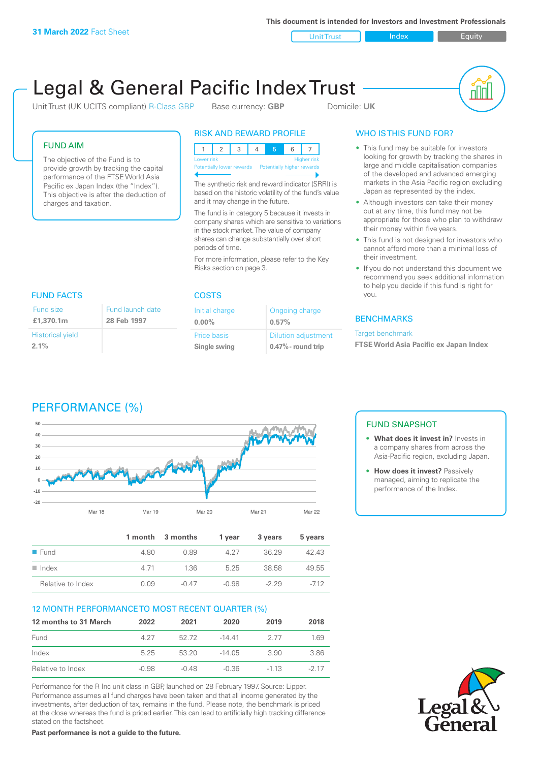**This document is intended for Investors and Investment Professionals**

Unit Trust Index I Equity

# Legal & General Pacific Index Trust

Unit Trust (UK UCITS compliant) R-Class GBP Base currency: **GBP** Domicile: UK



#### FUND AIM

The objective of the Fund is to provide growth by tracking the capital performance of the FTSE World Asia Pacific ex Japan Index (the "Index"). This objective is after the deduction of charges and taxation.

launch date

#### RISK AND REWARD PROFILE

123 4 5 6 7 Higher risk Potentially lower rewards Potentially higher rewards

The synthetic risk and reward indicator (SRRI) is based on the historic volatility of the fund's value and it may change in the future.

The fund is in category 5 because it invests in company shares which are sensitive to variations in the stock market. The value of company shares can change substantially over short periods of time.

For more information, please refer to the Key Risks section on page 3.

# FUND FACTS COSTS

| Fund size               | Fund launch |
|-------------------------|-------------|
| £1,370.1m               | 28 Feb 1997 |
| <b>Historical yield</b> |             |
| 2.1%                    |             |

| Initial charge | Ongoing charge             |
|----------------|----------------------------|
| $0.00\%$       | 0.57%                      |
| Price basis    | <b>Dilution adjustment</b> |
| Single swing   | $0.47\%$ - round trip      |

### WHO IS THIS FUND FOR?

- This fund may be suitable for investors looking for growth by tracking the shares in large and middle capitalisation companies of the developed and advanced emerging markets in the Asia Pacific region excluding Japan as represented by the index.
- Although investors can take their money out at any time, this fund may not be appropriate for those who plan to withdraw their money within five years.
- This fund is not designed for investors who cannot afford more than a minimal loss of their investment.
- If you do not understand this document we recommend you seek additional information to help you decide if this fund is right for you.

#### **BENCHMARKS**

#### Target benchmark

**FTSE World Asia Pacific ex Japan Index**

# PERFORMANCE (%)



|                      |      | 1 month 3 months | 1 year | 3 years | 5 years |
|----------------------|------|------------------|--------|---------|---------|
| $\blacksquare$ Fund  | 480  | O 89             | 4.27   | 36.29   | 42 43   |
| $\blacksquare$ Index | 4.71 | 1.36             | 525    | 38.58   | 49.55   |
| Relative to Index    | 0.09 | $-0.47$          | -0.98  | $-229$  | $-712$  |

#### 12 MONTH PERFORMANCE TO MOST RECENT QUARTER (%)

| 12 months to 31 March | 2022  | 2021    | 2020    | 2019   | 2018   |
|-----------------------|-------|---------|---------|--------|--------|
| Fund                  | 4.27  | 52.72   | -14 41  | 2.77   | 1.69   |
| Index                 | 5 25  | 53 20   | -14 05  | 390    | 3.86   |
| Relative to Index     | -0.98 | $-0.48$ | $-0.36$ | $-113$ | $-217$ |

Performance for the R Inc unit class in GBP, launched on 28 February 1997. Source: Lipper. Performance assumes all fund charges have been taken and that all income generated by the investments, after deduction of tax, remains in the fund. Please note, the benchmark is priced at the close whereas the fund is priced earlier. This can lead to artificially high tracking difference stated on the factsheet.

**Past performance is not a guide to the future.**

### FUND SNAPSHOT

- **• What does it invest in?** Invests in a company shares from across the Asia-Pacific region, excluding Japan.
- **• How does it invest?** Passively managed, aiming to replicate the performance of the Index.

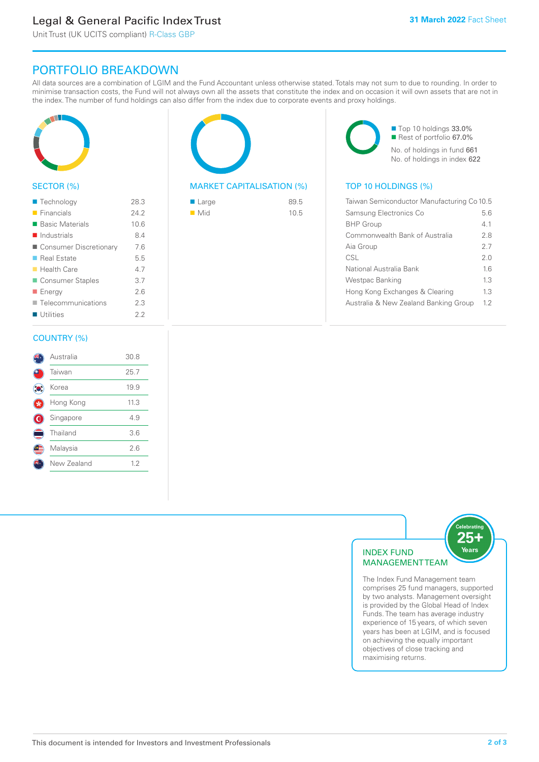# Legal & General Pacific Index Trust

Unit Trust (UK UCITS compliant) R-Class GBP

## PORTFOLIO BREAKDOWN

All data sources are a combination of LGIM and the Fund Accountant unless otherwise stated. Totals may not sum to due to rounding. In order to minimise transaction costs, the Fund will not always own all the assets that constitute the index and on occasion it will own assets that are not in the index. The number of fund holdings can also differ from the index due to corporate events and proxy holdings.



#### SECTOR (%)

| ■ Technology               | 28.3 |
|----------------------------|------|
| $\blacksquare$ Financials  | 24.2 |
| ■ Basic Materials          | 10.6 |
| $\blacksquare$ Industrials | 8.4  |
| ■ Consumer Discretionary   | 7.6  |
| ■ Real Estate              | 5.5  |
| $\blacksquare$ Health Care | 4.7  |
| Consumer Staples           | 3.7  |
| ■ Energy                   | 2.6  |
| Telecommunications         | 2.3  |
| Utilities                  | 22   |
|                            |      |

#### COUNTRY (%)

|   | Australia   | 30.8 |  |
|---|-------------|------|--|
|   | Taiwan      | 25.7 |  |
|   | Korea       | 19.9 |  |
|   | Hong Kong   | 11.3 |  |
| ۱ | Singapore   | 4.9  |  |
|   | Thailand    | 3.6  |  |
|   | Malaysia    | 2.6  |  |
|   | New Zealand | 1.2  |  |
|   |             |      |  |



#### MARKET CAPITALISATION (%) TOP 10 HOLDINGS (%)

| ■ Large            | 89.5 |
|--------------------|------|
| $\blacksquare$ Mid | 10.5 |

■ Top 10 holdings 33.0% ■ Rest of portfolio 67.0% No. of holdings in fund 661 No. of holdings in index 622

| Taiwan Semiconductor Manufacturing Co 10.5 |     |  |
|--------------------------------------------|-----|--|
| Samsung Electronics Co                     | 5.6 |  |
| <b>BHP Group</b>                           | 41  |  |
| Commonwealth Bank of Australia             | 28  |  |
| Aia Group                                  | 27  |  |
| CSL                                        | 20  |  |
| National Australia Bank                    | 16  |  |
| Westpac Banking                            | 13  |  |
| Hong Kong Exchanges & Clearing             | 13  |  |
| Australia & New Zealand Banking Group      | 12  |  |



The Index Fund Management team comprises 25 fund managers, supported by two analysts. Management oversight is provided by the Global Head of Index Funds. The team has average industry experience of 15 years, of which seven years has been at LGIM, and is focused on achieving the equally important objectives of close tracking and maximising returns.